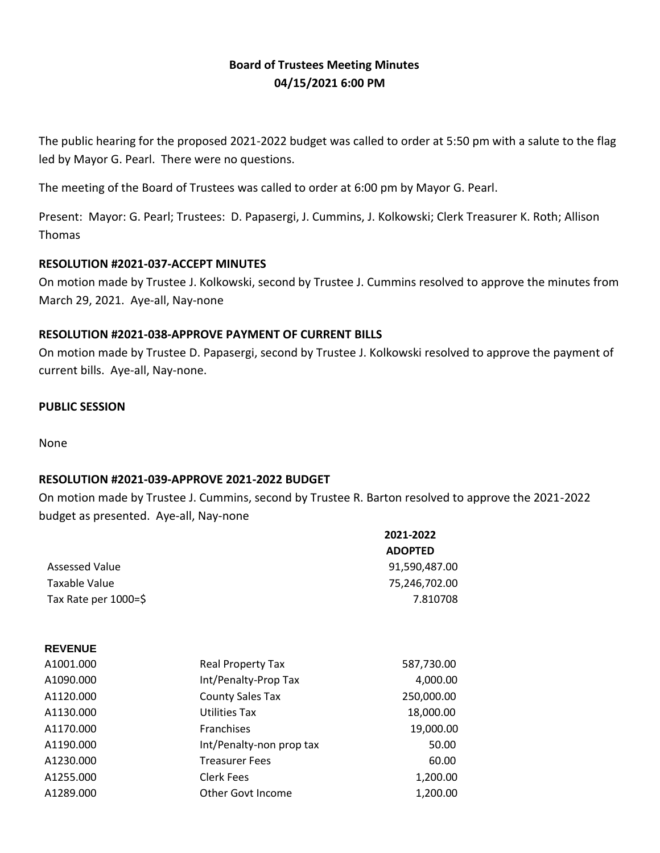# **Board of Trustees Meeting Minutes 04/15/2021 6:00 PM**

The public hearing for the proposed 2021-2022 budget was called to order at 5:50 pm with a salute to the flag led by Mayor G. Pearl. There were no questions.

The meeting of the Board of Trustees was called to order at 6:00 pm by Mayor G. Pearl.

Present: Mayor: G. Pearl; Trustees: D. Papasergi, J. Cummins, J. Kolkowski; Clerk Treasurer K. Roth; Allison Thomas

## **RESOLUTION #2021-037-ACCEPT MINUTES**

On motion made by Trustee J. Kolkowski, second by Trustee J. Cummins resolved to approve the minutes from March 29, 2021. Aye-all, Nay-none

## **RESOLUTION #2021-038-APPROVE PAYMENT OF CURRENT BILLS**

On motion made by Trustee D. Papasergi, second by Trustee J. Kolkowski resolved to approve the payment of current bills. Aye-all, Nay-none.

### **PUBLIC SESSION**

None

**REVENUE**

## **RESOLUTION #2021-039-APPROVE 2021-2022 BUDGET**

On motion made by Trustee J. Cummins, second by Trustee R. Barton resolved to approve the 2021-2022 budget as presented. Aye-all, Nay-none

| 2021-2022      |
|----------------|
| <b>ADOPTED</b> |
| 91,590,487.00  |
| 75,246,702.00  |
| 7.810708       |
|                |

| A1001.000 | Real Property Tax        | 587,730.00 |
|-----------|--------------------------|------------|
| A1090.000 | Int/Penalty-Prop Tax     | 4,000.00   |
| A1120.000 | <b>County Sales Tax</b>  | 250,000.00 |
| A1130.000 | <b>Utilities Tax</b>     | 18,000.00  |
| A1170.000 | Franchises               | 19,000.00  |
| A1190.000 | Int/Penalty-non prop tax | 50.00      |
| A1230.000 | <b>Treasurer Fees</b>    | 60.00      |
| A1255.000 | <b>Clerk Fees</b>        | 1,200.00   |
| A1289.000 | <b>Other Govt Income</b> | 1,200.00   |
|           |                          |            |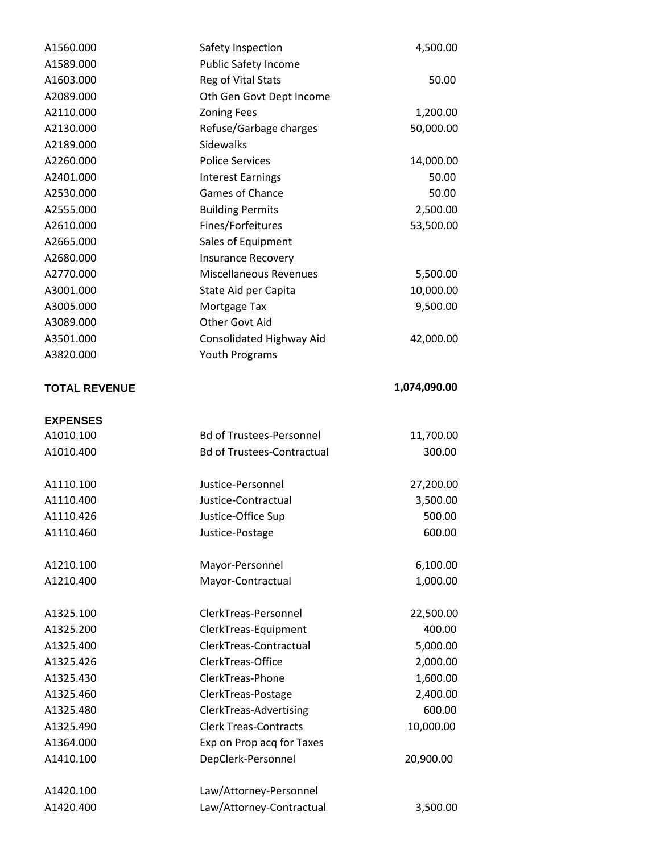| A1560.000            | Safety Inspection                 | 4,500.00     |
|----------------------|-----------------------------------|--------------|
| A1589.000            | <b>Public Safety Income</b>       |              |
| A1603.000            | Reg of Vital Stats                | 50.00        |
| A2089.000            | Oth Gen Govt Dept Income          |              |
| A2110.000            | <b>Zoning Fees</b>                | 1,200.00     |
| A2130.000            | Refuse/Garbage charges            | 50,000.00    |
| A2189.000            | Sidewalks                         |              |
| A2260.000            | <b>Police Services</b>            | 14,000.00    |
| A2401.000            | <b>Interest Earnings</b>          | 50.00        |
| A2530.000            | Games of Chance                   | 50.00        |
| A2555.000            | <b>Building Permits</b>           | 2,500.00     |
| A2610.000            | Fines/Forfeitures                 | 53,500.00    |
| A2665.000            | Sales of Equipment                |              |
| A2680.000            | <b>Insurance Recovery</b>         |              |
| A2770.000            | <b>Miscellaneous Revenues</b>     | 5,500.00     |
| A3001.000            | State Aid per Capita              | 10,000.00    |
| A3005.000            | Mortgage Tax                      | 9,500.00     |
| A3089.000            | Other Govt Aid                    |              |
| A3501.000            | Consolidated Highway Aid          | 42,000.00    |
| A3820.000            | Youth Programs                    |              |
|                      |                                   |              |
| <b>TOTAL REVENUE</b> |                                   | 1,074,090.00 |
|                      |                                   |              |
| <b>EXPENSES</b>      |                                   |              |
| A1010.100            | <b>Bd of Trustees-Personnel</b>   | 11,700.00    |
| A1010.400            | <b>Bd of Trustees-Contractual</b> | 300.00       |
| A1110.100            | Justice-Personnel                 | 27,200.00    |
| A1110.400            | Justice-Contractual               | 3,500.00     |
| A1110.426            | Justice-Office Sup                | 500.00       |
| A1110.460            | Justice-Postage                   | 600.00       |
|                      |                                   |              |
| A1210.100            | Mayor-Personnel                   | 6,100.00     |
| A1210.400            | Mayor-Contractual                 | 1,000.00     |
| A1325.100            | ClerkTreas-Personnel              | 22,500.00    |
| A1325.200            | ClerkTreas-Equipment              | 400.00       |
| A1325.400            | ClerkTreas-Contractual            | 5,000.00     |
| A1325.426            | ClerkTreas-Office                 | 2,000.00     |
| A1325.430            | ClerkTreas-Phone                  | 1,600.00     |
| A1325.460            | ClerkTreas-Postage                | 2,400.00     |
| A1325.480            | ClerkTreas-Advertising            | 600.00       |
| A1325.490            | <b>Clerk Treas-Contracts</b>      | 10,000.00    |
| A1364.000            | Exp on Prop acq for Taxes         |              |
| A1410.100            | DepClerk-Personnel                | 20,900.00    |
|                      |                                   |              |
| A1420.100            | Law/Attorney-Personnel            |              |
|                      | Law/Attorney-Contractual          | 3,500.00     |
| A1420.400            |                                   |              |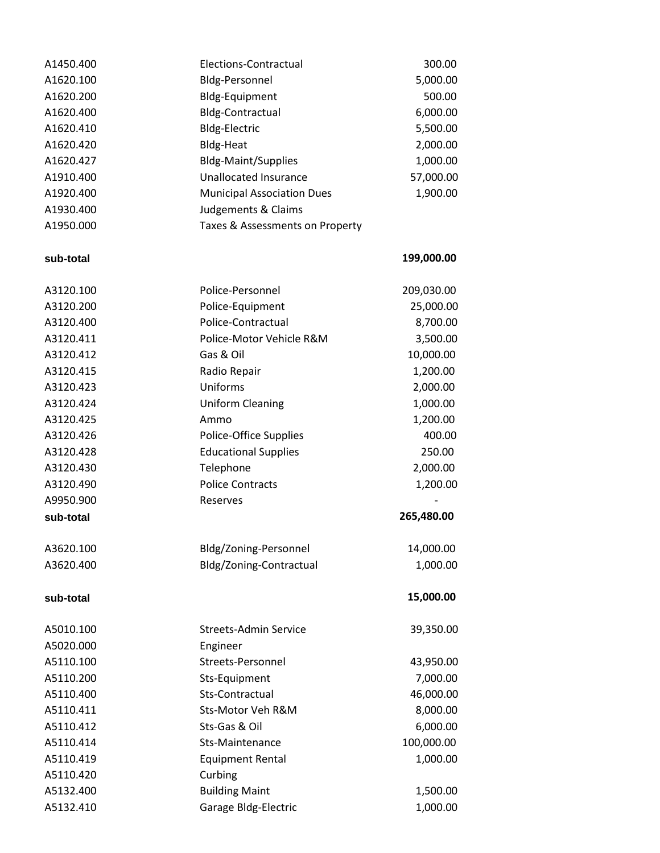| A1450.400 | Elections-Contractual             | 300.00     |
|-----------|-----------------------------------|------------|
| A1620.100 | <b>Bldg-Personnel</b>             | 5,000.00   |
| A1620.200 | Bldg-Equipment                    | 500.00     |
| A1620.400 | <b>Bldg-Contractual</b>           | 6,000.00   |
| A1620.410 | <b>Bldg-Electric</b>              | 5,500.00   |
| A1620.420 | <b>Bldg-Heat</b>                  | 2,000.00   |
| A1620.427 | <b>Bldg-Maint/Supplies</b>        | 1,000.00   |
| A1910.400 | <b>Unallocated Insurance</b>      | 57,000.00  |
| A1920.400 | <b>Municipal Association Dues</b> | 1,900.00   |
| A1930.400 | Judgements & Claims               |            |
| A1950.000 | Taxes & Assessments on Property   |            |
|           |                                   |            |
| sub-total |                                   | 199,000.00 |
| A3120.100 | Police-Personnel                  | 209,030.00 |
| A3120.200 | Police-Equipment                  | 25,000.00  |
| A3120.400 | Police-Contractual                | 8,700.00   |
| A3120.411 | Police-Motor Vehicle R&M          | 3,500.00   |
| A3120.412 | Gas & Oil                         | 10,000.00  |
| A3120.415 | Radio Repair                      | 1,200.00   |
| A3120.423 | Uniforms                          | 2,000.00   |
| A3120.424 | <b>Uniform Cleaning</b>           | 1,000.00   |
| A3120.425 | Ammo                              | 1,200.00   |
| A3120.426 | Police-Office Supplies            | 400.00     |
| A3120.428 | <b>Educational Supplies</b>       | 250.00     |
| A3120.430 | Telephone                         | 2,000.00   |
| A3120.490 | <b>Police Contracts</b>           | 1,200.00   |
| A9950.900 | Reserves                          |            |
| sub-total |                                   | 265,480.00 |
| A3620.100 | Bldg/Zoning-Personnel             | 14,000.00  |
| A3620.400 | Bldg/Zoning-Contractual           | 1,000.00   |
| sub-total |                                   | 15,000.00  |
| A5010.100 | <b>Streets-Admin Service</b>      | 39,350.00  |
| A5020.000 | Engineer                          |            |
| A5110.100 | Streets-Personnel                 | 43,950.00  |
| A5110.200 | Sts-Equipment                     | 7,000.00   |
| A5110.400 | Sts-Contractual                   | 46,000.00  |
| A5110.411 | Sts-Motor Veh R&M                 | 8,000.00   |
| A5110.412 | Sts-Gas & Oil                     | 6,000.00   |
| A5110.414 | Sts-Maintenance                   | 100,000.00 |
| A5110.419 | <b>Equipment Rental</b>           | 1,000.00   |
| A5110.420 | Curbing                           |            |
| A5132.400 | <b>Building Maint</b>             | 1,500.00   |
| A5132.410 | Garage Bldg-Electric              | 1,000.00   |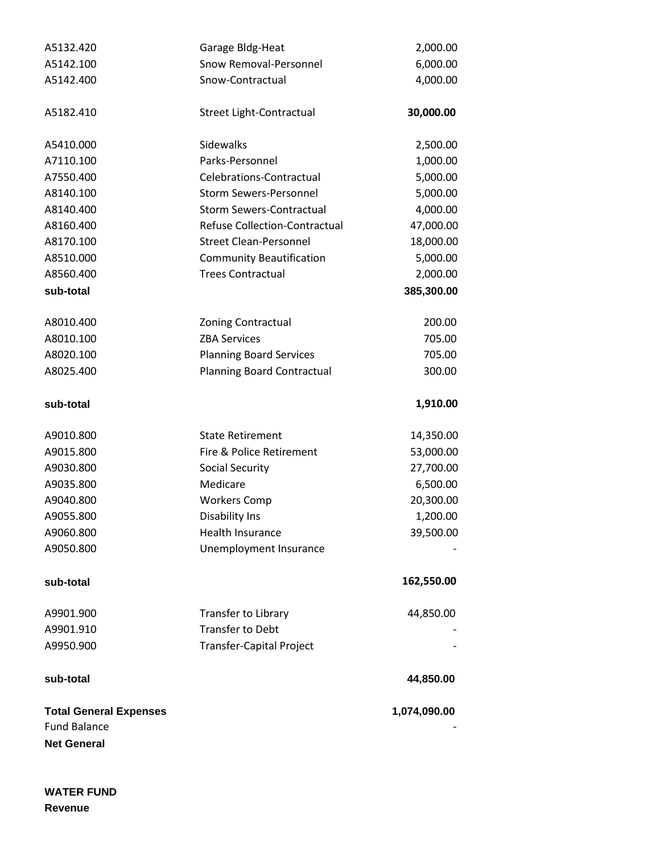| A5132.420                     | Garage Bldg-Heat                     | 2,000.00     |
|-------------------------------|--------------------------------------|--------------|
| A5142.100                     | Snow Removal-Personnel               | 6,000.00     |
| A5142.400                     | Snow-Contractual                     | 4,000.00     |
| A5182.410                     | Street Light-Contractual             | 30,000.00    |
| A5410.000                     | Sidewalks                            | 2,500.00     |
| A7110.100                     | Parks-Personnel                      | 1,000.00     |
| A7550.400                     | Celebrations-Contractual             | 5,000.00     |
| A8140.100                     | <b>Storm Sewers-Personnel</b>        | 5,000.00     |
| A8140.400                     | <b>Storm Sewers-Contractual</b>      | 4,000.00     |
| A8160.400                     | <b>Refuse Collection-Contractual</b> | 47,000.00    |
| A8170.100                     | <b>Street Clean-Personnel</b>        | 18,000.00    |
| A8510.000                     | <b>Community Beautification</b>      | 5,000.00     |
| A8560.400                     | <b>Trees Contractual</b>             | 2,000.00     |
| sub-total                     |                                      | 385,300.00   |
| A8010.400                     | <b>Zoning Contractual</b>            | 200.00       |
| A8010.100                     | <b>ZBA Services</b>                  | 705.00       |
| A8020.100                     | <b>Planning Board Services</b>       | 705.00       |
| A8025.400                     | <b>Planning Board Contractual</b>    | 300.00       |
| sub-total                     |                                      | 1,910.00     |
| A9010.800                     | <b>State Retirement</b>              | 14,350.00    |
| A9015.800                     | Fire & Police Retirement             | 53,000.00    |
| A9030.800                     | <b>Social Security</b>               | 27,700.00    |
| A9035.800                     | Medicare                             | 6,500.00     |
| A9040.800                     | <b>Workers Comp</b>                  | 20,300.00    |
| A9055.800                     | Disability Ins                       | 1,200.00     |
| A9060.800                     | <b>Health Insurance</b>              | 39,500.00    |
| A9050.800                     | Unemployment Insurance               |              |
| sub-total                     |                                      | 162,550.00   |
| A9901.900                     | Transfer to Library                  | 44,850.00    |
| A9901.910                     | <b>Transfer to Debt</b>              |              |
| A9950.900                     | <b>Transfer-Capital Project</b>      |              |
| sub-total                     |                                      | 44,850.00    |
| <b>Total General Expenses</b> |                                      | 1,074,090.00 |
| <b>Fund Balance</b>           |                                      |              |
| <b>Net General</b>            |                                      |              |

**WATER FUND Revenue**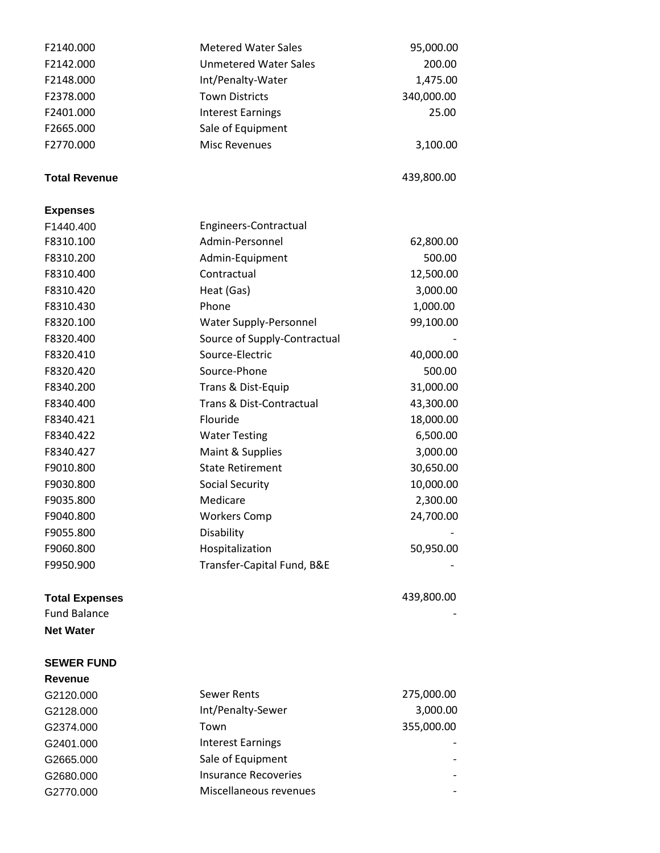| F2140.000             | <b>Metered Water Sales</b>          | 95,000.00  |
|-----------------------|-------------------------------------|------------|
| F2142.000             | <b>Unmetered Water Sales</b>        | 200.00     |
| F2148.000             | Int/Penalty-Water                   | 1,475.00   |
| F2378.000             | <b>Town Districts</b>               | 340,000.00 |
| F2401.000             | <b>Interest Earnings</b>            | 25.00      |
| F2665.000             | Sale of Equipment                   |            |
| F2770.000             | <b>Misc Revenues</b>                | 3,100.00   |
| <b>Total Revenue</b>  |                                     | 439,800.00 |
| <b>Expenses</b>       |                                     |            |
| F1440.400             | Engineers-Contractual               |            |
| F8310.100             | Admin-Personnel                     | 62,800.00  |
| F8310.200             | Admin-Equipment                     | 500.00     |
| F8310.400             | Contractual                         | 12,500.00  |
| F8310.420             | Heat (Gas)                          | 3,000.00   |
| F8310.430             | Phone                               | 1,000.00   |
| F8320.100             | Water Supply-Personnel              | 99,100.00  |
| F8320.400             | Source of Supply-Contractual        |            |
| F8320.410             | Source-Electric                     | 40,000.00  |
| F8320.420             | Source-Phone                        | 500.00     |
| F8340.200             | Trans & Dist-Equip                  | 31,000.00  |
| F8340.400             | <b>Trans &amp; Dist-Contractual</b> | 43,300.00  |
| F8340.421             | Flouride                            | 18,000.00  |
| F8340.422             | <b>Water Testing</b>                | 6,500.00   |
| F8340.427             | Maint & Supplies                    | 3,000.00   |
| F9010.800             | <b>State Retirement</b>             | 30,650.00  |
| F9030.800             | <b>Social Security</b>              | 10,000.00  |
| F9035.800             | Medicare                            | 2,300.00   |
| F9040.800             | <b>Workers Comp</b>                 | 24,700.00  |
| F9055.800             | Disability                          |            |
| F9060.800             | Hospitalization                     | 50,950.00  |
| F9950.900             | Transfer-Capital Fund, B&E          |            |
| <b>Total Expenses</b> |                                     | 439,800.00 |
| <b>Fund Balance</b>   |                                     |            |
| <b>Net Water</b>      |                                     |            |
| <b>SEWER FUND</b>     |                                     |            |
| Revenue               |                                     |            |
| G2120.000             | <b>Sewer Rents</b>                  | 275,000.00 |
| G2128.000             | Int/Penalty-Sewer                   | 3,000.00   |
| G2374.000             | Town                                | 355,000.00 |
| G2401.000             | <b>Interest Earnings</b>            |            |
| G2665.000             | Sale of Equipment                   |            |
| G2680.000             | <b>Insurance Recoveries</b>         |            |
| G2770.000             | Miscellaneous revenues              |            |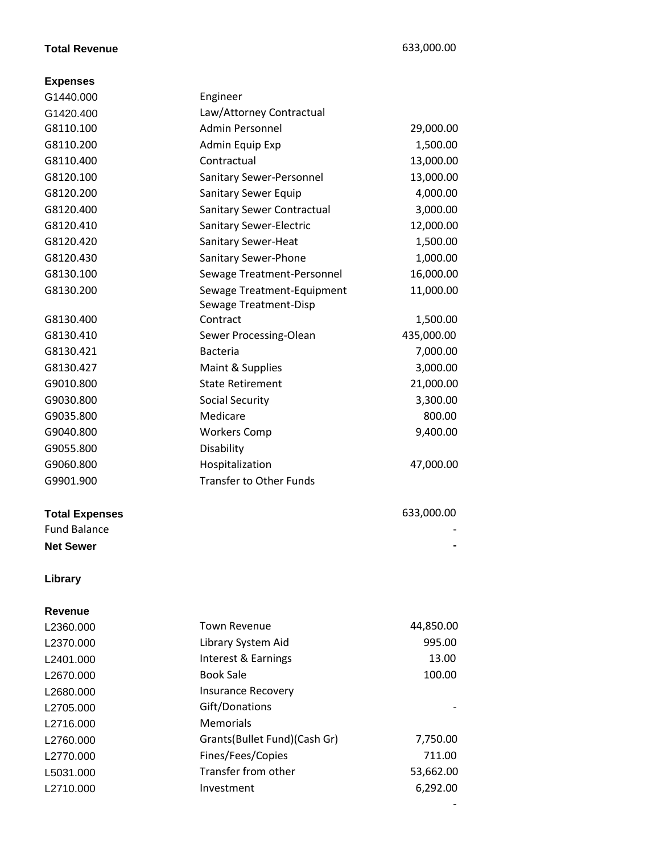## **Total Revenue** 633,000.00

#### **Expenses**

| G1440.000             | Engineer                          |            |
|-----------------------|-----------------------------------|------------|
| G1420.400             | Law/Attorney Contractual          |            |
| G8110.100             | <b>Admin Personnel</b>            | 29,000.00  |
| G8110.200             | Admin Equip Exp                   | 1,500.00   |
| G8110.400             | Contractual                       | 13,000.00  |
| G8120.100             | Sanitary Sewer-Personnel          | 13,000.00  |
| G8120.200             | Sanitary Sewer Equip              | 4,000.00   |
| G8120.400             | <b>Sanitary Sewer Contractual</b> | 3,000.00   |
| G8120.410             | Sanitary Sewer-Electric           | 12,000.00  |
| G8120.420             | Sanitary Sewer-Heat               | 1,500.00   |
| G8120.430             | Sanitary Sewer-Phone              | 1,000.00   |
| G8130.100             | Sewage Treatment-Personnel        | 16,000.00  |
| G8130.200             | Sewage Treatment-Equipment        | 11,000.00  |
|                       | Sewage Treatment-Disp             |            |
| G8130.400             | Contract                          | 1,500.00   |
| G8130.410             | Sewer Processing-Olean            | 435,000.00 |
| G8130.421             | <b>Bacteria</b>                   | 7,000.00   |
| G8130.427             | Maint & Supplies                  | 3,000.00   |
| G9010.800             | <b>State Retirement</b>           | 21,000.00  |
| G9030.800             | <b>Social Security</b>            | 3,300.00   |
| G9035.800             | Medicare                          | 800.00     |
| G9040.800             | <b>Workers Comp</b>               | 9,400.00   |
| G9055.800             | Disability                        |            |
| G9060.800             | Hospitalization                   | 47,000.00  |
| G9901.900             | <b>Transfer to Other Funds</b>    |            |
| <b>Total Expenses</b> |                                   | 633,000.00 |
| <b>Fund Balance</b>   |                                   |            |
| <b>Net Sewer</b>      |                                   |            |
| Library               |                                   |            |
| <b>Revenue</b>        |                                   |            |
| L2360.000             | <b>Town Revenue</b>               | 44,850.00  |
| L2370.000             | Library System Aid                | 995.00     |
| L2401.000             | Interest & Earnings               | 13.00      |
| L2670.000             | <b>Book Sale</b>                  | 100.00     |
| L2680.000             | <b>Insurance Recovery</b>         |            |
| L2705.000             | Gift/Donations                    |            |
| L2716.000             | <b>Memorials</b>                  |            |
| L2760.000             | Grants(Bullet Fund)(Cash Gr)      | 7,750.00   |
| L2770.000             | Fines/Fees/Copies                 | 711.00     |
| L5031.000             | Transfer from other               | 53,662.00  |
| L2710.000             | Investment                        | 6,292.00   |
|                       |                                   |            |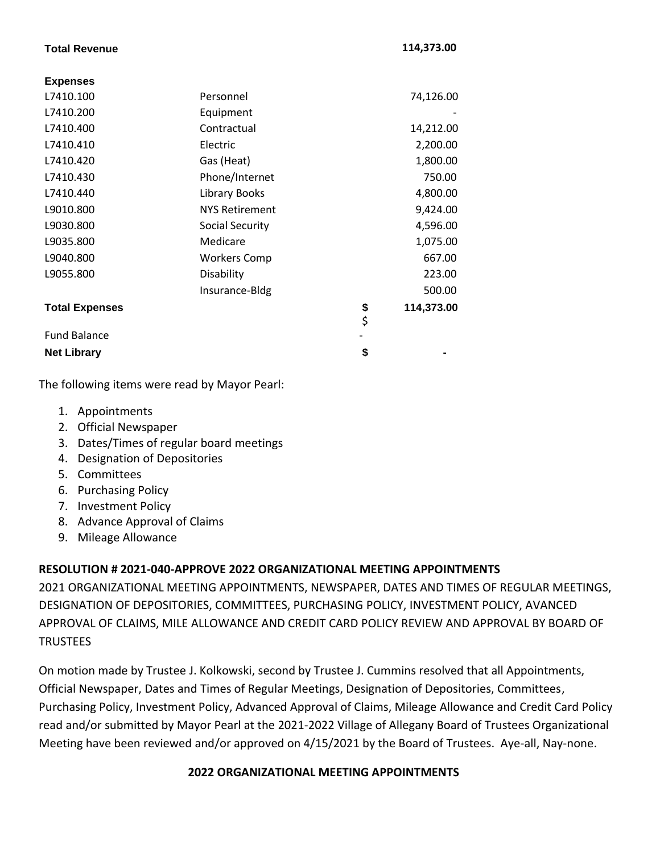#### **Total Revenue 114,373.00**

| <b>Expenses</b>       |                       |                  |
|-----------------------|-----------------------|------------------|
| L7410.100             | Personnel             | 74,126.00        |
| L7410.200             | Equipment             |                  |
| L7410.400             | Contractual           | 14,212.00        |
| L7410.410             | Electric              | 2,200.00         |
| L7410.420             | Gas (Heat)            | 1,800.00         |
| L7410.430             | Phone/Internet        | 750.00           |
| L7410.440             | Library Books         | 4,800.00         |
| L9010.800             | <b>NYS Retirement</b> | 9,424.00         |
| L9030.800             | Social Security       | 4,596.00         |
| L9035.800             | Medicare              | 1,075.00         |
| L9040.800             | <b>Workers Comp</b>   | 667.00           |
| L9055.800             | Disability            | 223.00           |
|                       | Insurance-Bldg        | 500.00           |
| <b>Total Expenses</b> |                       | \$<br>114,373.00 |
|                       |                       | \$               |
| <b>Fund Balance</b>   |                       |                  |
| <b>Net Library</b>    |                       | \$               |
|                       |                       |                  |

The following items were read by Mayor Pearl:

- 1. Appointments
- 2. Official Newspaper
- 3. Dates/Times of regular board meetings
- 4. Designation of Depositories
- 5. Committees
- 6. Purchasing Policy
- 7. Investment Policy
- 8. Advance Approval of Claims
- 9. Mileage Allowance

## **RESOLUTION # 2021-040-APPROVE 2022 ORGANIZATIONAL MEETING APPOINTMENTS**

2021 ORGANIZATIONAL MEETING APPOINTMENTS, NEWSPAPER, DATES AND TIMES OF REGULAR MEETINGS, DESIGNATION OF DEPOSITORIES, COMMITTEES, PURCHASING POLICY, INVESTMENT POLICY, AVANCED APPROVAL OF CLAIMS, MILE ALLOWANCE AND CREDIT CARD POLICY REVIEW AND APPROVAL BY BOARD OF **TRUSTEES** 

On motion made by Trustee J. Kolkowski, second by Trustee J. Cummins resolved that all Appointments, Official Newspaper, Dates and Times of Regular Meetings, Designation of Depositories, Committees, Purchasing Policy, Investment Policy, Advanced Approval of Claims, Mileage Allowance and Credit Card Policy read and/or submitted by Mayor Pearl at the 2021-2022 Village of Allegany Board of Trustees Organizational Meeting have been reviewed and/or approved on 4/15/2021 by the Board of Trustees. Aye-all, Nay-none.

## **2022 ORGANIZATIONAL MEETING APPOINTMENTS**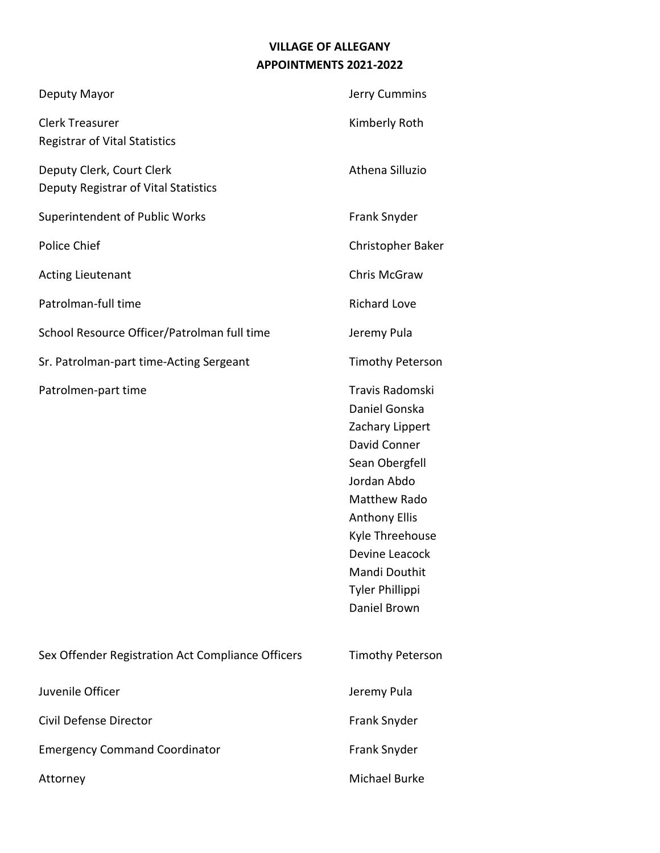# **VILLAGE OF ALLEGANY APPOINTMENTS 2021-2022**

| Deputy Mayor                                                      | Jerry Cummins                                                                                                                                                                                                                                              |
|-------------------------------------------------------------------|------------------------------------------------------------------------------------------------------------------------------------------------------------------------------------------------------------------------------------------------------------|
| <b>Clerk Treasurer</b><br><b>Registrar of Vital Statistics</b>    | Kimberly Roth                                                                                                                                                                                                                                              |
| Deputy Clerk, Court Clerk<br>Deputy Registrar of Vital Statistics | Athena Silluzio                                                                                                                                                                                                                                            |
| <b>Superintendent of Public Works</b>                             | Frank Snyder                                                                                                                                                                                                                                               |
| <b>Police Chief</b>                                               | Christopher Baker                                                                                                                                                                                                                                          |
| <b>Acting Lieutenant</b>                                          | Chris McGraw                                                                                                                                                                                                                                               |
| Patrolman-full time                                               | <b>Richard Love</b>                                                                                                                                                                                                                                        |
| School Resource Officer/Patrolman full time                       | Jeremy Pula                                                                                                                                                                                                                                                |
| Sr. Patrolman-part time-Acting Sergeant                           | <b>Timothy Peterson</b>                                                                                                                                                                                                                                    |
| Patrolmen-part time                                               | Travis Radomski<br>Daniel Gonska<br>Zachary Lippert<br>David Conner<br>Sean Obergfell<br>Jordan Abdo<br><b>Matthew Rado</b><br><b>Anthony Ellis</b><br>Kyle Threehouse<br>Devine Leacock<br><b>Mandi Douthit</b><br><b>Tyler Phillippi</b><br>Daniel Brown |
| Sex Offender Registration Act Compliance Officers                 | <b>Timothy Peterson</b>                                                                                                                                                                                                                                    |
| Juvenile Officer                                                  | Jeremy Pula                                                                                                                                                                                                                                                |
| Civil Defense Director                                            | Frank Snyder                                                                                                                                                                                                                                               |
| <b>Emergency Command Coordinator</b>                              | Frank Snyder                                                                                                                                                                                                                                               |
| Attorney                                                          | Michael Burke                                                                                                                                                                                                                                              |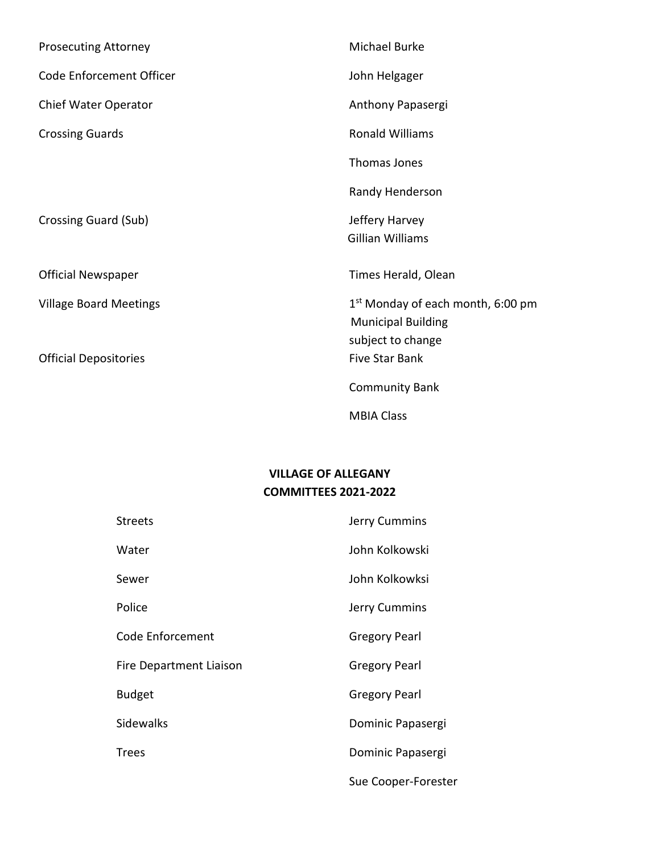| <b>Prosecuting Attorney</b>                                   | <b>Michael Burke</b>                                                                                                     |
|---------------------------------------------------------------|--------------------------------------------------------------------------------------------------------------------------|
| Code Enforcement Officer                                      | John Helgager                                                                                                            |
| Chief Water Operator                                          | Anthony Papasergi                                                                                                        |
| <b>Crossing Guards</b>                                        | <b>Ronald Williams</b>                                                                                                   |
|                                                               | Thomas Jones                                                                                                             |
|                                                               | Randy Henderson                                                                                                          |
| Crossing Guard (Sub)                                          | Jeffery Harvey<br><b>Gillian Williams</b>                                                                                |
| <b>Official Newspaper</b>                                     | Times Herald, Olean                                                                                                      |
| <b>Village Board Meetings</b><br><b>Official Depositories</b> | 1 <sup>st</sup> Monday of each month, 6:00 pm<br><b>Municipal Building</b><br>subject to change<br><b>Five Star Bank</b> |
|                                                               | <b>Community Bank</b>                                                                                                    |
|                                                               | <b>MBIA Class</b>                                                                                                        |

# **VILLAGE OF ALLEGANY COMMITTEES 2021-2022**

| <b>Streets</b>          | Jerry Cummins        |
|-------------------------|----------------------|
| Water                   | John Kolkowski       |
| Sewer                   | John Kolkowksi       |
| Police                  | Jerry Cummins        |
| Code Enforcement        | <b>Gregory Pearl</b> |
| Fire Department Liaison | <b>Gregory Pearl</b> |
| <b>Budget</b>           | <b>Gregory Pearl</b> |
| <b>Sidewalks</b>        | Dominic Papasergi    |
| <b>Trees</b>            | Dominic Papasergi    |
|                         | Sue Cooper-Forester  |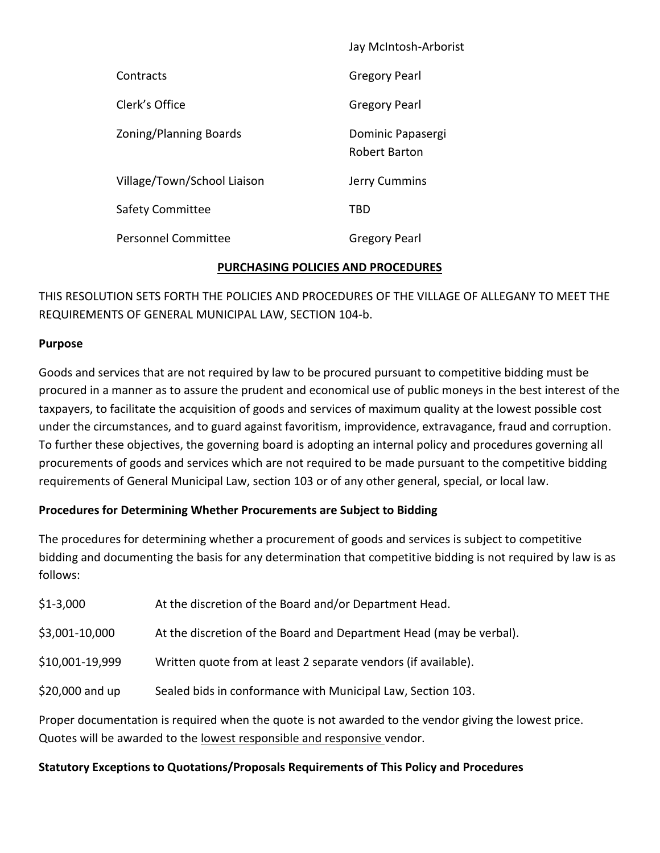|                             | Jay McIntosh-Arborist              |
|-----------------------------|------------------------------------|
| Contracts                   | <b>Gregory Pearl</b>               |
| Clerk's Office              | <b>Gregory Pearl</b>               |
| Zoning/Planning Boards      | Dominic Papasergi<br>Robert Barton |
| Village/Town/School Liaison | Jerry Cummins                      |
| Safety Committee            | TBD                                |
| <b>Personnel Committee</b>  | <b>Gregory Pearl</b>               |

## **PURCHASING POLICIES AND PROCEDURES**

THIS RESOLUTION SETS FORTH THE POLICIES AND PROCEDURES OF THE VILLAGE OF ALLEGANY TO MEET THE REQUIREMENTS OF GENERAL MUNICIPAL LAW, SECTION 104-b.

## **Purpose**

Goods and services that are not required by law to be procured pursuant to competitive bidding must be procured in a manner as to assure the prudent and economical use of public moneys in the best interest of the taxpayers, to facilitate the acquisition of goods and services of maximum quality at the lowest possible cost under the circumstances, and to guard against favoritism, improvidence, extravagance, fraud and corruption. To further these objectives, the governing board is adopting an internal policy and procedures governing all procurements of goods and services which are not required to be made pursuant to the competitive bidding requirements of General Municipal Law, section 103 or of any other general, special, or local law.

## **Procedures for Determining Whether Procurements are Subject to Bidding**

The procedures for determining whether a procurement of goods and services is subject to competitive bidding and documenting the basis for any determination that competitive bidding is not required by law is as follows:

| $$1-3,000$                                                                                            | At the discretion of the Board and/or Department Head.              |  |
|-------------------------------------------------------------------------------------------------------|---------------------------------------------------------------------|--|
| \$3,001-10,000                                                                                        | At the discretion of the Board and Department Head (may be verbal). |  |
| \$10,001-19,999                                                                                       | Written quote from at least 2 separate vendors (if available).      |  |
| \$20,000 and up                                                                                       | Sealed bids in conformance with Municipal Law, Section 103.         |  |
| Proper documentation is required when the quote is not awarded to the vendor giving the lowest price. |                                                                     |  |

Quotes will be awarded to the lowest responsible and responsive vendor.

## **Statutory Exceptions to Quotations/Proposals Requirements of This Policy and Procedures**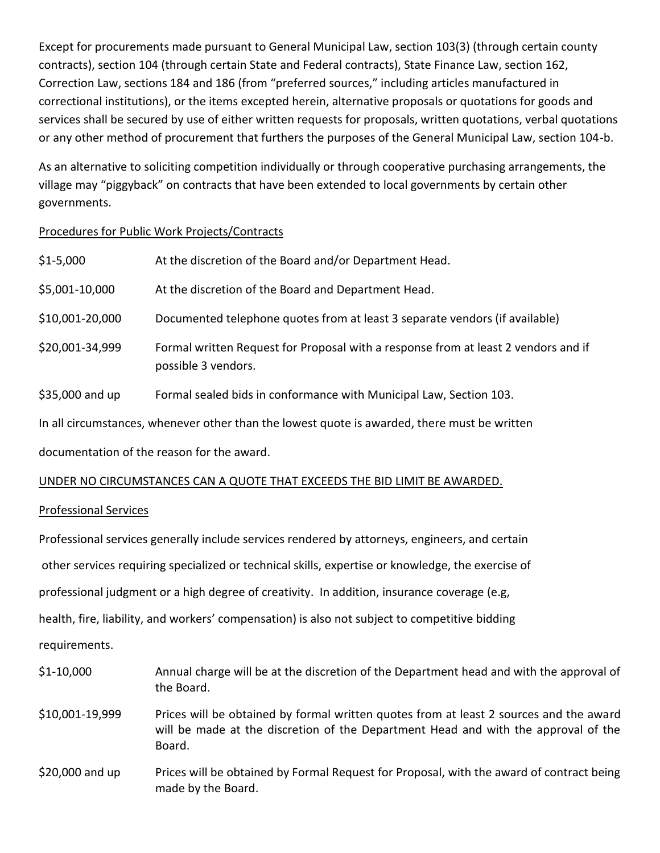Except for procurements made pursuant to General Municipal Law, section 103(3) (through certain county contracts), section 104 (through certain State and Federal contracts), State Finance Law, section 162, Correction Law, sections 184 and 186 (from "preferred sources," including articles manufactured in correctional institutions), or the items excepted herein, alternative proposals or quotations for goods and services shall be secured by use of either written requests for proposals, written quotations, verbal quotations or any other method of procurement that furthers the purposes of the General Municipal Law, section 104-b.

As an alternative to soliciting competition individually or through cooperative purchasing arrangements, the village may "piggyback" on contracts that have been extended to local governments by certain other governments.

## Procedures for Public Work Projects/Contracts

| \$1-5,000                                                                                    | At the discretion of the Board and/or Department Head.                                                    |  |
|----------------------------------------------------------------------------------------------|-----------------------------------------------------------------------------------------------------------|--|
| \$5,001-10,000                                                                               | At the discretion of the Board and Department Head.                                                       |  |
| \$10,001-20,000                                                                              | Documented telephone quotes from at least 3 separate vendors (if available)                               |  |
| \$20,001-34,999                                                                              | Formal written Request for Proposal with a response from at least 2 vendors and if<br>possible 3 vendors. |  |
| \$35,000 and up                                                                              | Formal sealed bids in conformance with Municipal Law, Section 103.                                        |  |
| In all circumstances, whenever other than the lowest quote is awarded, there must be written |                                                                                                           |  |
| documentation of the reason for the award.                                                   |                                                                                                           |  |

# UNDER NO CIRCUMSTANCES CAN A QUOTE THAT EXCEEDS THE BID LIMIT BE AWARDED.

## Professional Services

Professional services generally include services rendered by attorneys, engineers, and certain other services requiring specialized or technical skills, expertise or knowledge, the exercise of professional judgment or a high degree of creativity. In addition, insurance coverage (e.g, health, fire, liability, and workers' compensation) is also not subject to competitive bidding requirements.

| $$1-10,000$      | Annual charge will be at the discretion of the Department head and with the approval of<br>the Board.                                                                                  |
|------------------|----------------------------------------------------------------------------------------------------------------------------------------------------------------------------------------|
| \$10,001-19,999  | Prices will be obtained by formal written quotes from at least 2 sources and the award<br>will be made at the discretion of the Department Head and with the approval of the<br>Board. |
| $$20,000$ and up | Prices will be obtained by Formal Request for Proposal, with the award of contract being<br>made by the Board.                                                                         |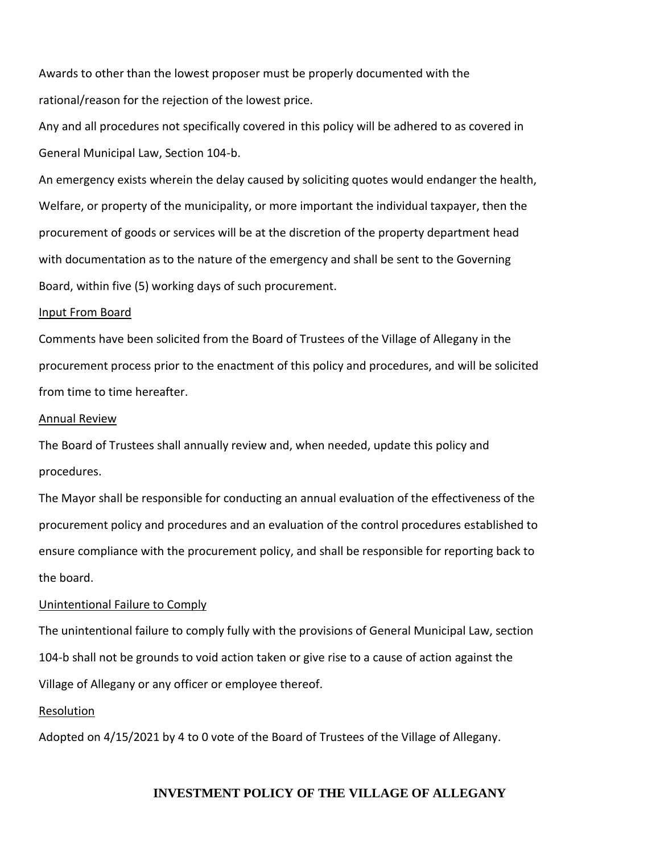Awards to other than the lowest proposer must be properly documented with the rational/reason for the rejection of the lowest price.

Any and all procedures not specifically covered in this policy will be adhered to as covered in General Municipal Law, Section 104-b.

An emergency exists wherein the delay caused by soliciting quotes would endanger the health, Welfare, or property of the municipality, or more important the individual taxpayer, then the procurement of goods or services will be at the discretion of the property department head with documentation as to the nature of the emergency and shall be sent to the Governing Board, within five (5) working days of such procurement.

#### Input From Board

Comments have been solicited from the Board of Trustees of the Village of Allegany in the procurement process prior to the enactment of this policy and procedures, and will be solicited from time to time hereafter.

#### Annual Review

The Board of Trustees shall annually review and, when needed, update this policy and procedures.

The Mayor shall be responsible for conducting an annual evaluation of the effectiveness of the procurement policy and procedures and an evaluation of the control procedures established to ensure compliance with the procurement policy, and shall be responsible for reporting back to the board.

#### Unintentional Failure to Comply

The unintentional failure to comply fully with the provisions of General Municipal Law, section 104-b shall not be grounds to void action taken or give rise to a cause of action against the Village of Allegany or any officer or employee thereof.

#### Resolution

Adopted on 4/15/2021 by 4 to 0 vote of the Board of Trustees of the Village of Allegany.

## **INVESTMENT POLICY OF THE VILLAGE OF ALLEGANY**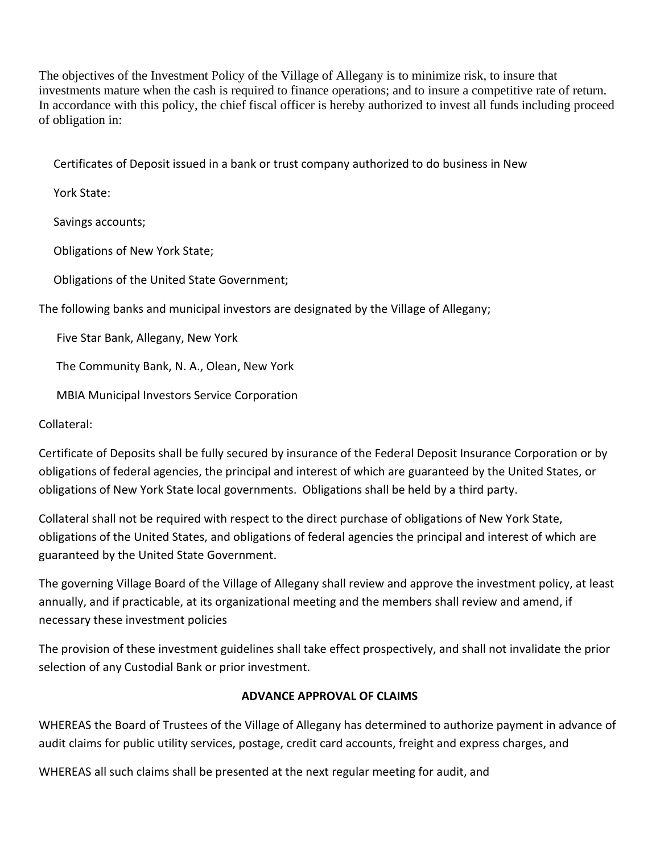The objectives of the Investment Policy of the Village of Allegany is to minimize risk, to insure that investments mature when the cash is required to finance operations; and to insure a competitive rate of return. In accordance with this policy, the chief fiscal officer is hereby authorized to invest all funds including proceed of obligation in:

Certificates of Deposit issued in a bank or trust company authorized to do business in New

York State:

Savings accounts;

Obligations of New York State;

Obligations of the United State Government;

The following banks and municipal investors are designated by the Village of Allegany;

Five Star Bank, Allegany, New York

The Community Bank, N. A., Olean, New York

MBIA Municipal Investors Service Corporation

Collateral:

Certificate of Deposits shall be fully secured by insurance of the Federal Deposit Insurance Corporation or by obligations of federal agencies, the principal and interest of which are guaranteed by the United States, or obligations of New York State local governments. Obligations shall be held by a third party.

Collateral shall not be required with respect to the direct purchase of obligations of New York State, obligations of the United States, and obligations of federal agencies the principal and interest of which are guaranteed by the United State Government.

The governing Village Board of the Village of Allegany shall review and approve the investment policy, at least annually, and if practicable, at its organizational meeting and the members shall review and amend, if necessary these investment policies

The provision of these investment guidelines shall take effect prospectively, and shall not invalidate the prior selection of any Custodial Bank or prior investment.

## **ADVANCE APPROVAL OF CLAIMS**

WHEREAS the Board of Trustees of the Village of Allegany has determined to authorize payment in advance of audit claims for public utility services, postage, credit card accounts, freight and express charges, and

WHEREAS all such claims shall be presented at the next regular meeting for audit, and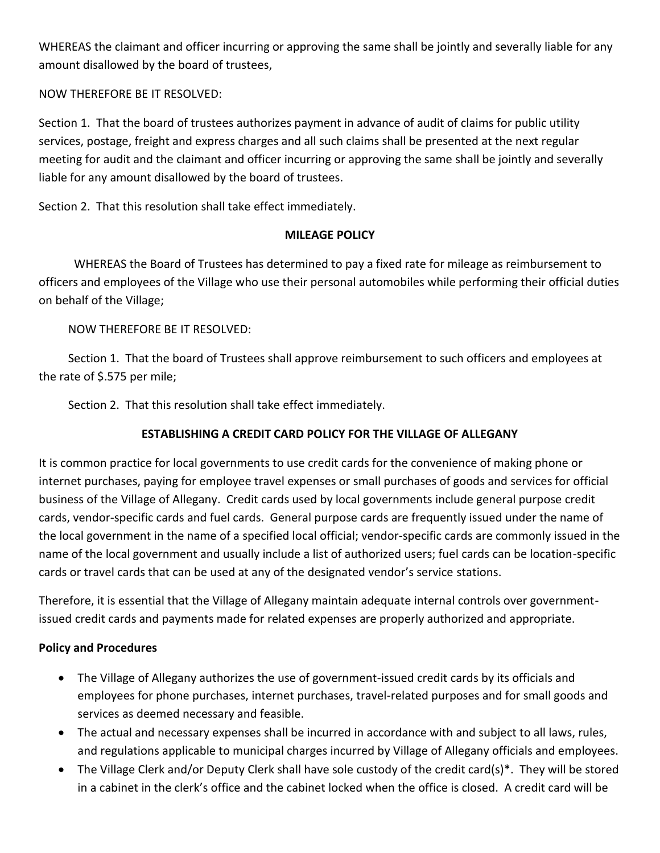WHEREAS the claimant and officer incurring or approving the same shall be jointly and severally liable for any amount disallowed by the board of trustees,

## NOW THEREFORE BE IT RESOLVED:

Section 1. That the board of trustees authorizes payment in advance of audit of claims for public utility services, postage, freight and express charges and all such claims shall be presented at the next regular meeting for audit and the claimant and officer incurring or approving the same shall be jointly and severally liable for any amount disallowed by the board of trustees.

Section 2. That this resolution shall take effect immediately.

## **MILEAGE POLICY**

 WHEREAS the Board of Trustees has determined to pay a fixed rate for mileage as reimbursement to officers and employees of the Village who use their personal automobiles while performing their official duties on behalf of the Village;

## NOW THEREFORE BE IT RESOLVED:

 Section 1. That the board of Trustees shall approve reimbursement to such officers and employees at the rate of \$.575 per mile;

Section 2. That this resolution shall take effect immediately.

# **ESTABLISHING A CREDIT CARD POLICY FOR THE VILLAGE OF ALLEGANY**

It is common practice for local governments to use credit cards for the convenience of making phone or internet purchases, paying for employee travel expenses or small purchases of goods and services for official business of the Village of Allegany. Credit cards used by local governments include general purpose credit cards, vendor-specific cards and fuel cards. General purpose cards are frequently issued under the name of the local government in the name of a specified local official; vendor-specific cards are commonly issued in the name of the local government and usually include a list of authorized users; fuel cards can be location-specific cards or travel cards that can be used at any of the designated vendor's service stations.

Therefore, it is essential that the Village of Allegany maintain adequate internal controls over governmentissued credit cards and payments made for related expenses are properly authorized and appropriate.

# **Policy and Procedures**

- The Village of Allegany authorizes the use of government-issued credit cards by its officials and employees for phone purchases, internet purchases, travel-related purposes and for small goods and services as deemed necessary and feasible.
- The actual and necessary expenses shall be incurred in accordance with and subject to all laws, rules, and regulations applicable to municipal charges incurred by Village of Allegany officials and employees.
- The Village Clerk and/or Deputy Clerk shall have sole custody of the credit card(s)\*. They will be stored in a cabinet in the clerk's office and the cabinet locked when the office is closed. A credit card will be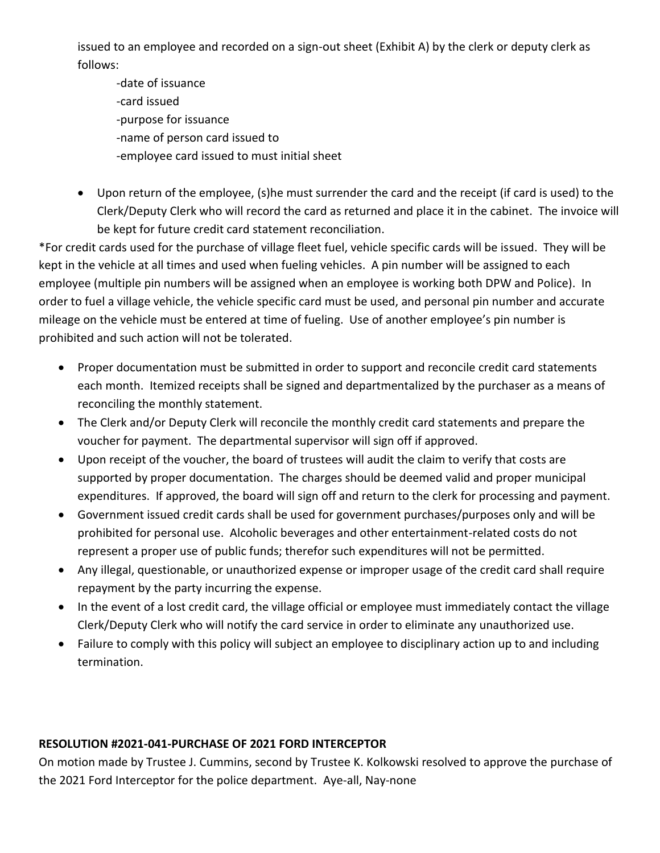issued to an employee and recorded on a sign-out sheet (Exhibit A) by the clerk or deputy clerk as follows:

-date of issuance -card issued -purpose for issuance -name of person card issued to -employee card issued to must initial sheet

• Upon return of the employee, (s)he must surrender the card and the receipt (if card is used) to the Clerk/Deputy Clerk who will record the card as returned and place it in the cabinet. The invoice will be kept for future credit card statement reconciliation.

\*For credit cards used for the purchase of village fleet fuel, vehicle specific cards will be issued. They will be kept in the vehicle at all times and used when fueling vehicles. A pin number will be assigned to each employee (multiple pin numbers will be assigned when an employee is working both DPW and Police). In order to fuel a village vehicle, the vehicle specific card must be used, and personal pin number and accurate mileage on the vehicle must be entered at time of fueling. Use of another employee's pin number is prohibited and such action will not be tolerated.

- Proper documentation must be submitted in order to support and reconcile credit card statements each month. Itemized receipts shall be signed and departmentalized by the purchaser as a means of reconciling the monthly statement.
- The Clerk and/or Deputy Clerk will reconcile the monthly credit card statements and prepare the voucher for payment. The departmental supervisor will sign off if approved.
- Upon receipt of the voucher, the board of trustees will audit the claim to verify that costs are supported by proper documentation. The charges should be deemed valid and proper municipal expenditures. If approved, the board will sign off and return to the clerk for processing and payment.
- Government issued credit cards shall be used for government purchases/purposes only and will be prohibited for personal use. Alcoholic beverages and other entertainment-related costs do not represent a proper use of public funds; therefor such expenditures will not be permitted.
- Any illegal, questionable, or unauthorized expense or improper usage of the credit card shall require repayment by the party incurring the expense.
- In the event of a lost credit card, the village official or employee must immediately contact the village Clerk/Deputy Clerk who will notify the card service in order to eliminate any unauthorized use.
- Failure to comply with this policy will subject an employee to disciplinary action up to and including termination.

# **RESOLUTION #2021-041-PURCHASE OF 2021 FORD INTERCEPTOR**

On motion made by Trustee J. Cummins, second by Trustee K. Kolkowski resolved to approve the purchase of the 2021 Ford Interceptor for the police department. Aye-all, Nay-none